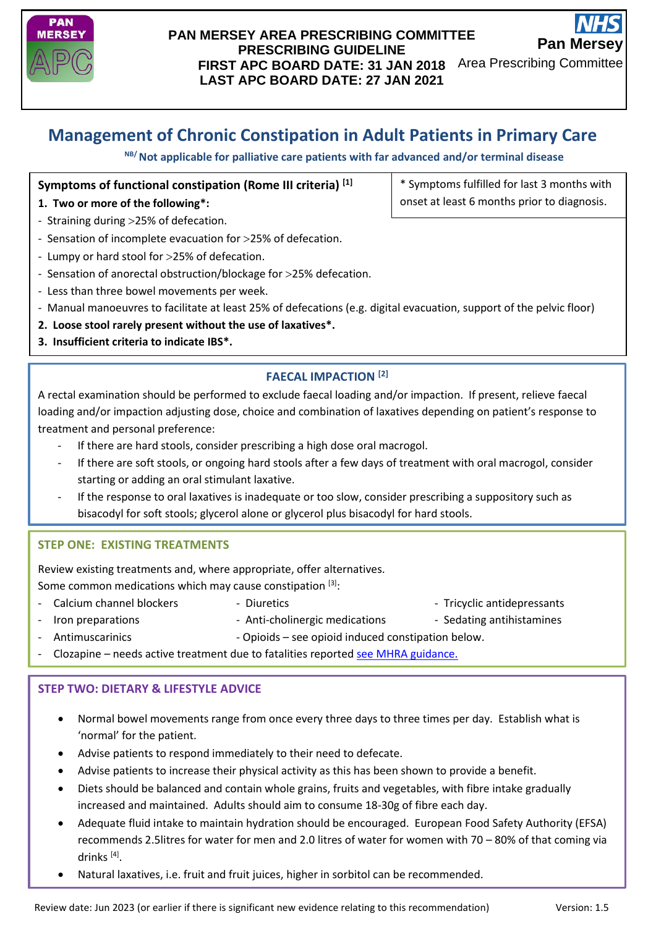

#### **PAN MERSEY AREA PRESCRIBING COMMITTEE PRESCRIBING GUIDELINE FIRST APC BOARD DATE: 31 JAN 2018** Area Prescribing Committee **LAST APC BOARD DATE: 27 JAN 2021 Pan Mer**

# **Management of Chronic Constipation in Adult Patients in Primary Care**

**NB/ Not applicable for palliative care patients with far advanced and/or terminal disease**

## **Symptoms of functional constipation (Rome III criteria) [1]**

### **1. Two or more of the following\*:**

- Straining during 25% of defecation.
- Sensation of incomplete evacuation for 25% of defecation.
- Lumpy or hard stool for 25% of defecation.
- Sensation of anorectal obstruction/blockage for 25% defecation.
- Less than three bowel movements per week.
- Manual manoeuvres to facilitate at least 25% of defecations (e.g. digital evacuation, support of the pelvic floor)
- **2. Loose stool rarely present without the use of laxatives\*.**
- **3. Insufficient criteria to indicate IBS\*.**

## **FAECAL IMPACTION [2]**

A rectal examination should be performed to exclude faecal loading and/or impaction. If present, relieve faecal loading and/or impaction adjusting dose, choice and combination of laxatives depending on patient's response to treatment and personal preference:

- If there are hard stools, consider prescribing a high dose oral macrogol.
- If there are soft stools, or ongoing hard stools after a few days of treatment with oral macrogol, consider starting or adding an oral stimulant laxative.
- If the response to oral laxatives is inadequate or too slow, consider prescribing a suppository such as bisacodyl for soft stools; glycerol alone or glycerol plus bisacodyl for hard stools.

### **STEP ONE: EXISTING TREATMENTS**

Review existing treatments and, where appropriate, offer alternatives. Some common medications which may cause constipation [3]:

- Calcium channel blockers Diuretics Tricyclic antidepressants
- 

-

- Iron preparations Anti-cholinergic medications Sedating antihistamines
- -
	- Antimuscarinics **Antimuscarinics** Opioids see opioid induced constipation below.
- Clozapine needs active treatment due to fatalities reported see MHRA guidance.

## **STEP TWO: DIETARY & LIFESTYLE ADVICE**

- Normal bowel movements range from once every three days to three times per day. Establish what is 'normal' for the patient.
- Advise patients to respond immediately to their need to defecate.
- Advise patients to increase their physical activity as this has been shown to provide a benefit.
- Diets should be balanced and contain whole grains, fruits and vegetables, with fibre intake gradually increased and maintained. Adults should aim to consume 18-30g of fibre each day.
- Adequate fluid intake to maintain hydration should be encouraged. European Food Safety Authority (EFSA) recommends 2.5litres for water for men and 2.0 litres of water for women with 70 – 80% of that coming via drinks <sup>[4]</sup>.
- Natural laxatives, i.e. fruit and fruit juices, higher in sorbitol can be recommended.

\* Symptoms fulfilled for last 3 months with onset at least 6 months prior to diagnosis.